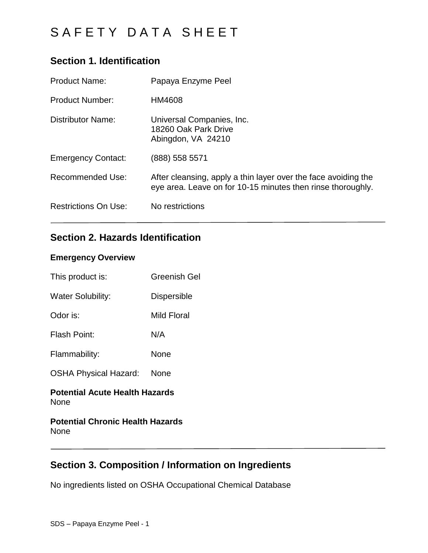## **Section 1. Identification**

| <b>Product Name:</b>        | Papaya Enzyme Peel                                                                                                            |
|-----------------------------|-------------------------------------------------------------------------------------------------------------------------------|
| <b>Product Number:</b>      | HM4608                                                                                                                        |
| Distributor Name:           | Universal Companies, Inc.<br>18260 Oak Park Drive<br>Abingdon, VA 24210                                                       |
| <b>Emergency Contact:</b>   | (888) 558 5571                                                                                                                |
| <b>Recommended Use:</b>     | After cleansing, apply a thin layer over the face avoiding the<br>eye area. Leave on for 10-15 minutes then rinse thoroughly. |
| <b>Restrictions On Use:</b> | No restrictions                                                                                                               |

## **Section 2. Hazards Identification**

### **Emergency Overview**

| This product is:             | Greenish Gel       |
|------------------------------|--------------------|
| <b>Water Solubility:</b>     | <b>Dispersible</b> |
| Odor is:                     | Mild Floral        |
| <b>Flash Point:</b>          | N/A                |
| Flammability:                | None               |
| <b>OSHA Physical Hazard:</b> | None               |
|                              |                    |

### **Potential Acute Health Hazards** None

### **Potential Chronic Health Hazards** None

## **Section 3. Composition / Information on Ingredients**

No ingredients listed on OSHA Occupational Chemical Database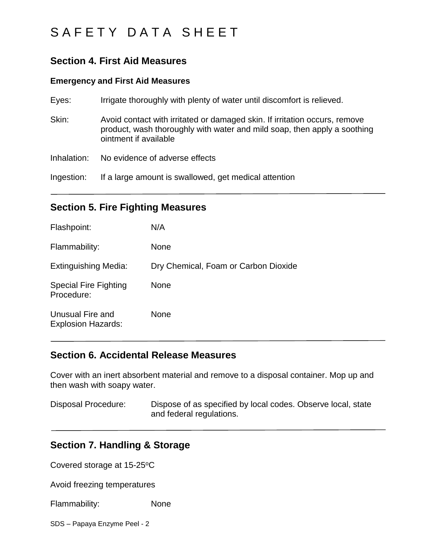### **Section 4. First Aid Measures**

#### **Emergency and First Aid Measures**

| Eyes:       | Irrigate thoroughly with plenty of water until discomfort is relieved.                                                                                                          |
|-------------|---------------------------------------------------------------------------------------------------------------------------------------------------------------------------------|
| Skin:       | Avoid contact with irritated or damaged skin. If irritation occurs, remove<br>product, wash thoroughly with water and mild soap, then apply a soothing<br>ointment if available |
| Inhalation: | No evidence of adverse effects                                                                                                                                                  |
| Ingestion:  | If a large amount is swallowed, get medical attention                                                                                                                           |

### **Section 5. Fire Fighting Measures**

| Flashpoint:                                   | N/A                                  |
|-----------------------------------------------|--------------------------------------|
| Flammability:                                 | <b>None</b>                          |
| <b>Extinguishing Media:</b>                   | Dry Chemical, Foam or Carbon Dioxide |
| <b>Special Fire Fighting</b><br>Procedure:    | <b>None</b>                          |
| Unusual Fire and<br><b>Explosion Hazards:</b> | <b>None</b>                          |

### **Section 6. Accidental Release Measures**

Cover with an inert absorbent material and remove to a disposal container. Mop up and then wash with soapy water.

Disposal Procedure: Dispose of as specified by local codes. Observe local, state and federal regulations.

### **Section 7. Handling & Storage**

Covered storage at 15-25°C

Avoid freezing temperatures

Flammability: None

SDS – Papaya Enzyme Peel - 2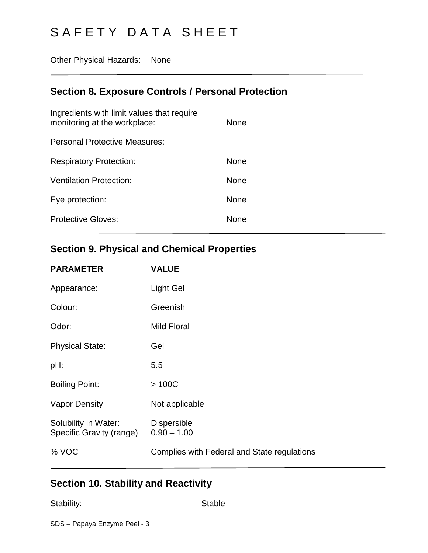Other Physical Hazards: None

## **Section 8. Exposure Controls / Personal Protection**

## **Section 9. Physical and Chemical Properties**

| <b>PARAMETER</b>                                 | <b>VALUE</b>                                |
|--------------------------------------------------|---------------------------------------------|
| Appearance:                                      | Light Gel                                   |
| Colour:                                          | Greenish                                    |
| Odor:                                            | Mild Floral                                 |
| <b>Physical State:</b>                           | Gel                                         |
| pH:                                              | 5.5                                         |
| <b>Boiling Point:</b>                            | >100C                                       |
| <b>Vapor Density</b>                             | Not applicable                              |
| Solubility in Water:<br>Specific Gravity (range) | <b>Dispersible</b><br>$0.90 - 1.00$         |
| % VOC                                            | Complies with Federal and State regulations |
|                                                  |                                             |

## **Section 10. Stability and Reactivity**

Stability: Stable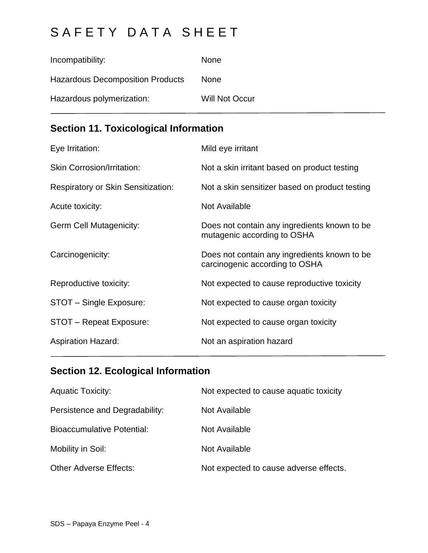| Incompatibility:                        | <b>None</b>           |
|-----------------------------------------|-----------------------|
| <b>Hazardous Decomposition Products</b> | <b>None</b>           |
| Hazardous polymerization:               | <b>Will Not Occur</b> |

## **Section 11. Toxicological Information**

| Eye Irritation:                           | Mild eye irritant                                                              |
|-------------------------------------------|--------------------------------------------------------------------------------|
| <b>Skin Corrosion/Irritation:</b>         | Not a skin irritant based on product testing                                   |
| <b>Respiratory or Skin Sensitization:</b> | Not a skin sensitizer based on product testing                                 |
| Acute toxicity:                           | Not Available                                                                  |
| <b>Germ Cell Mutagenicity:</b>            | Does not contain any ingredients known to be<br>mutagenic according to OSHA    |
| Carcinogenicity:                          | Does not contain any ingredients known to be<br>carcinogenic according to OSHA |
| Reproductive toxicity:                    | Not expected to cause reproductive toxicity                                    |
| STOT - Single Exposure:                   | Not expected to cause organ toxicity                                           |
| STOT - Repeat Exposure:                   | Not expected to cause organ toxicity                                           |
| <b>Aspiration Hazard:</b>                 | Not an aspiration hazard                                                       |

## **Section 12. Ecological Information**

| <b>Aquatic Toxicity:</b>          | Not expected to cause aquatic toxicity |
|-----------------------------------|----------------------------------------|
| Persistence and Degradability:    | Not Available                          |
| <b>Bioaccumulative Potential:</b> | Not Available                          |
| Mobility in Soil:                 | Not Available                          |
| <b>Other Adverse Effects:</b>     | Not expected to cause adverse effects. |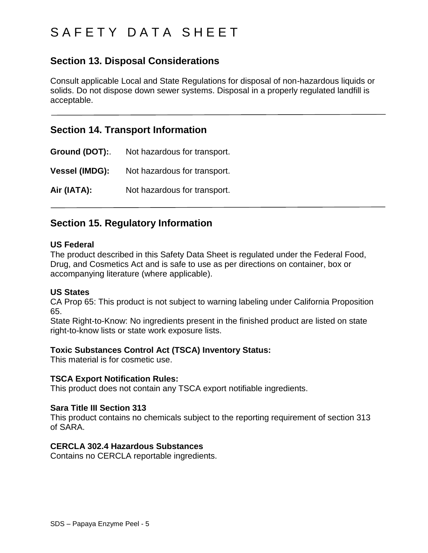# S A F E T Y D A T A S H E E T

## **Section 13. Disposal Considerations**

Consult applicable Local and State Regulations for disposal of non-hazardous liquids or solids. Do not dispose down sewer systems. Disposal in a properly regulated landfill is acceptable.

### **Section 14. Transport Information**

**Ground (DOT):**. Not hazardous for transport. **Vessel (IMDG):** Not hazardous for transport. **Air (IATA):** Not hazardous for transport.

### **Section 15. Regulatory Information**

#### **US Federal**

The product described in this Safety Data Sheet is regulated under the Federal Food, Drug, and Cosmetics Act and is safe to use as per directions on container, box or accompanying literature (where applicable).

### **US States**

CA Prop 65: This product is not subject to warning labeling under California Proposition 65.

State Right-to-Know: No ingredients present in the finished product are listed on state right-to-know lists or state work exposure lists.

### **Toxic Substances Control Act (TSCA) Inventory Status:**

This material is for cosmetic use.

### **TSCA Export Notification Rules:**

This product does not contain any TSCA export notifiable ingredients.

#### **Sara Title III Section 313**

This product contains no chemicals subject to the reporting requirement of section 313 of SARA.

### **CERCLA 302.4 Hazardous Substances**

Contains no CERCLA reportable ingredients.